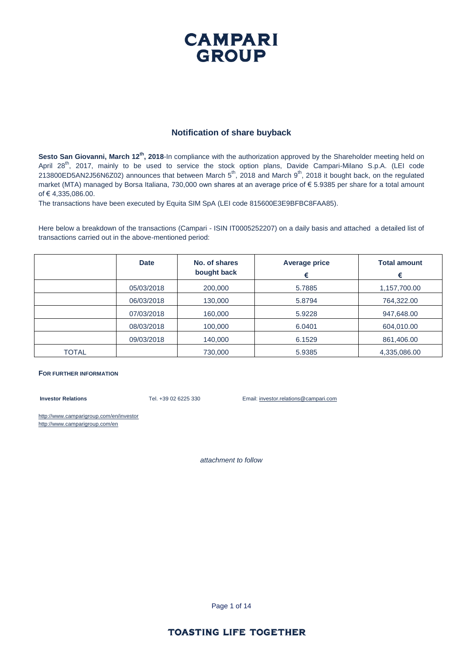### **CAMPARI GROUP**

#### **Notification of share buyback**

**Sesto San Giovanni, March 12<sup>th</sup>**, 2018-In compliance with the authorization approved by the Shareholder meeting held on April 28<sup>th</sup>, 2017, mainly to be used to service the stock option plans, Davide Campari-Milano S.p.A. (LEI code 213800ED5AN2J56N6Z02) announces that between March  $5^{th}$ , 2018 and March  $9^{th}$ , 2018 it bought back, on the regulated market (MTA) managed by Borsa Italiana, 730,000 own shares at an average price of € 5.9385 per share for a total amount of € 4,335,086.00.

The transactions have been executed by Equita SIM SpA (LEI code 815600E3E9BFBC8FAA85).

Here below a breakdown of the transactions (Campari - ISIN IT0005252207) on a daily basis and attached a detailed list of transactions carried out in the above-mentioned period:

|              | <b>Date</b> | No. of shares<br>bought back | <b>Average price</b><br>€ | <b>Total amount</b><br>€ |
|--------------|-------------|------------------------------|---------------------------|--------------------------|
|              | 05/03/2018  | 200,000                      | 5.7885                    | 1,157,700.00             |
|              | 06/03/2018  | 130,000                      | 5.8794                    | 764,322.00               |
|              | 07/03/2018  | 160,000                      | 5.9228                    | 947,648.00               |
|              | 08/03/2018  | 100,000                      | 6.0401                    | 604,010.00               |
|              | 09/03/2018  | 140,000                      | 6.1529                    | 861,406.00               |
| <b>TOTAL</b> |             | 730,000                      | 5.9385                    | 4,335,086.00             |

#### **FOR FURTHER INFORMATION**

**Investor Relations** Tel. +39 02 6225 330 Email: investor.relations@campari.com

http://www.camparigroup.com/en/investor http://www.camparigroup.com/en

*attachment to follow*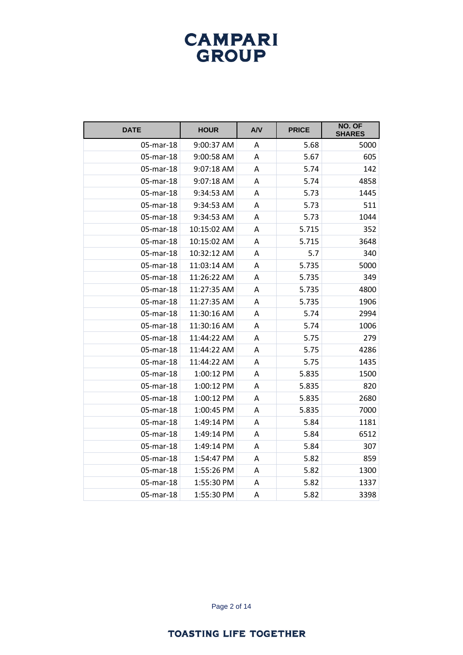| <b>DATE</b> | <b>HOUR</b> | A/V | <b>PRICE</b> | NO. OF<br><b>SHARES</b> |
|-------------|-------------|-----|--------------|-------------------------|
| 05-mar-18   | 9:00:37 AM  | A   | 5.68         | 5000                    |
| 05-mar-18   | 9:00:58 AM  | A   | 5.67         | 605                     |
| 05-mar-18   | 9:07:18 AM  | A   | 5.74         | 142                     |
| 05-mar-18   | 9:07:18 AM  | Α   | 5.74         | 4858                    |
| 05-mar-18   | 9:34:53 AM  | А   | 5.73         | 1445                    |
| 05-mar-18   | 9:34:53 AM  | Α   | 5.73         | 511                     |
| 05-mar-18   | 9:34:53 AM  | A   | 5.73         | 1044                    |
| 05-mar-18   | 10:15:02 AM | Α   | 5.715        | 352                     |
| 05-mar-18   | 10:15:02 AM | Α   | 5.715        | 3648                    |
| 05-mar-18   | 10:32:12 AM | Α   | 5.7          | 340                     |
| 05-mar-18   | 11:03:14 AM | Α   | 5.735        | 5000                    |
| 05-mar-18   | 11:26:22 AM | A   | 5.735        | 349                     |
| 05-mar-18   | 11:27:35 AM | A   | 5.735        | 4800                    |
| 05-mar-18   | 11:27:35 AM | А   | 5.735        | 1906                    |
| 05-mar-18   | 11:30:16 AM | Α   | 5.74         | 2994                    |
| 05-mar-18   | 11:30:16 AM | A   | 5.74         | 1006                    |
| 05-mar-18   | 11:44:22 AM | Α   | 5.75         | 279                     |
| 05-mar-18   | 11:44:22 AM | Α   | 5.75         | 4286                    |
| 05-mar-18   | 11:44:22 AM | Α   | 5.75         | 1435                    |
| 05-mar-18   | 1:00:12 PM  | Α   | 5.835        | 1500                    |
| 05-mar-18   | 1:00:12 PM  | A   | 5.835        | 820                     |
| 05-mar-18   | 1:00:12 PM  | Α   | 5.835        | 2680                    |
| 05-mar-18   | 1:00:45 PM  | А   | 5.835        | 7000                    |
| 05-mar-18   | 1:49:14 PM  | A   | 5.84         | 1181                    |
| 05-mar-18   | 1:49:14 PM  | A   | 5.84         | 6512                    |
| 05-mar-18   | 1:49:14 PM  | Α   | 5.84         | 307                     |
| 05-mar-18   | 1:54:47 PM  | A   | 5.82         | 859                     |
| 05-mar-18   | 1:55:26 PM  | Α   | 5.82         | 1300                    |
| 05-mar-18   | 1:55:30 PM  | Α   | 5.82         | 1337                    |
| 05-mar-18   | 1:55:30 PM  | A   | 5.82         | 3398                    |

Page 2 of 14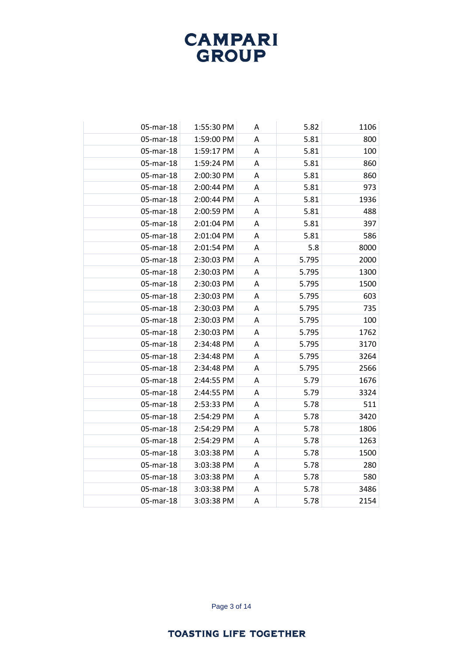| 05-mar-18 | 1:55:30 PM | Α | 5.82  | 1106 |
|-----------|------------|---|-------|------|
| 05-mar-18 | 1:59:00 PM | A | 5.81  | 800  |
| 05-mar-18 | 1:59:17 PM | A | 5.81  | 100  |
| 05-mar-18 | 1:59:24 PM | Α | 5.81  | 860  |
| 05-mar-18 | 2:00:30 PM | A | 5.81  | 860  |
| 05-mar-18 | 2:00:44 PM | A | 5.81  | 973  |
| 05-mar-18 | 2:00:44 PM | Α | 5.81  | 1936 |
| 05-mar-18 | 2:00:59 PM | A | 5.81  | 488  |
| 05-mar-18 | 2:01:04 PM | A | 5.81  | 397  |
| 05-mar-18 | 2:01:04 PM | A | 5.81  | 586  |
| 05-mar-18 | 2:01:54 PM | A | 5.8   | 8000 |
| 05-mar-18 | 2:30:03 PM | A | 5.795 | 2000 |
| 05-mar-18 | 2:30:03 PM | Α | 5.795 | 1300 |
| 05-mar-18 | 2:30:03 PM | A | 5.795 | 1500 |
| 05-mar-18 | 2:30:03 PM | A | 5.795 | 603  |
| 05-mar-18 | 2:30:03 PM | A | 5.795 | 735  |
| 05-mar-18 | 2:30:03 PM | A | 5.795 | 100  |
| 05-mar-18 | 2:30:03 PM | A | 5.795 | 1762 |
| 05-mar-18 | 2:34:48 PM | A | 5.795 | 3170 |
| 05-mar-18 | 2:34:48 PM | A | 5.795 | 3264 |
| 05-mar-18 | 2:34:48 PM | Α | 5.795 | 2566 |
| 05-mar-18 | 2:44:55 PM | Α | 5.79  | 1676 |
| 05-mar-18 | 2:44:55 PM | A | 5.79  | 3324 |
| 05-mar-18 | 2:53:33 PM | A | 5.78  | 511  |
| 05-mar-18 | 2:54:29 PM | A | 5.78  | 3420 |
| 05-mar-18 | 2:54:29 PM | A | 5.78  | 1806 |
| 05-mar-18 | 2:54:29 PM | A | 5.78  | 1263 |
| 05-mar-18 | 3:03:38 PM | Α | 5.78  | 1500 |
| 05-mar-18 | 3:03:38 PM | A | 5.78  | 280  |
| 05-mar-18 | 3:03:38 PM | A | 5.78  | 580  |
| 05-mar-18 | 3:03:38 PM | Α | 5.78  | 3486 |
| 05-mar-18 | 3:03:38 PM | A | 5.78  | 2154 |

Page 3 of 14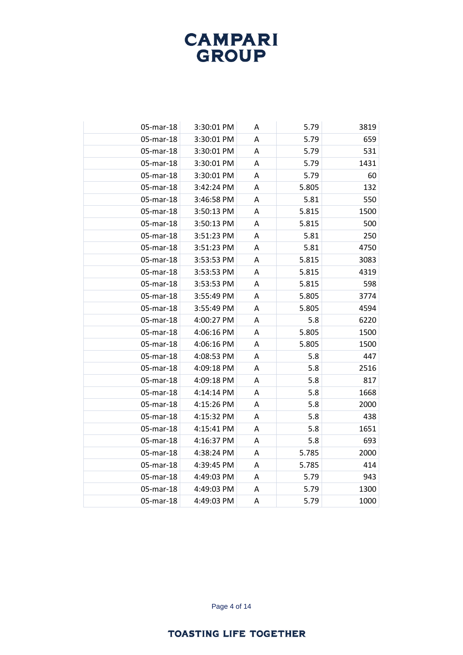| 05-mar-18 | 3:30:01 PM | Α | 5.79  | 3819 |
|-----------|------------|---|-------|------|
| 05-mar-18 | 3:30:01 PM | A | 5.79  | 659  |
| 05-mar-18 | 3:30:01 PM | A | 5.79  | 531  |
| 05-mar-18 | 3:30:01 PM | Α | 5.79  | 1431 |
| 05-mar-18 | 3:30:01 PM | A | 5.79  | 60   |
| 05-mar-18 | 3:42:24 PM | A | 5.805 | 132  |
| 05-mar-18 | 3:46:58 PM | Α | 5.81  | 550  |
| 05-mar-18 | 3:50:13 PM | A | 5.815 | 1500 |
| 05-mar-18 | 3:50:13 PM | A | 5.815 | 500  |
| 05-mar-18 | 3:51:23 PM | A | 5.81  | 250  |
| 05-mar-18 | 3:51:23 PM | A | 5.81  | 4750 |
| 05-mar-18 | 3:53:53 PM | A | 5.815 | 3083 |
| 05-mar-18 | 3:53:53 PM | Α | 5.815 | 4319 |
| 05-mar-18 | 3:53:53 PM | A | 5.815 | 598  |
| 05-mar-18 | 3:55:49 PM | A | 5.805 | 3774 |
| 05-mar-18 | 3:55:49 PM | A | 5.805 | 4594 |
| 05-mar-18 | 4:00:27 PM | Α | 5.8   | 6220 |
| 05-mar-18 | 4:06:16 PM | A | 5.805 | 1500 |
| 05-mar-18 | 4:06:16 PM | A | 5.805 | 1500 |
| 05-mar-18 | 4:08:53 PM | A | 5.8   | 447  |
| 05-mar-18 | 4:09:18 PM | A | 5.8   | 2516 |
| 05-mar-18 | 4:09:18 PM | A | 5.8   | 817  |
| 05-mar-18 | 4:14:14 PM | Α | 5.8   | 1668 |
| 05-mar-18 | 4:15:26 PM | A | 5.8   | 2000 |
| 05-mar-18 | 4:15:32 PM | A | 5.8   | 438  |
| 05-mar-18 | 4:15:41 PM | A | 5.8   | 1651 |
| 05-mar-18 | 4:16:37 PM | Α | 5.8   | 693  |
| 05-mar-18 | 4:38:24 PM | Α | 5.785 | 2000 |
| 05-mar-18 | 4:39:45 PM | A | 5.785 | 414  |
| 05-mar-18 | 4:49:03 PM | A | 5.79  | 943  |
| 05-mar-18 | 4:49:03 PM | Α | 5.79  | 1300 |
| 05-mar-18 | 4:49:03 PM | A | 5.79  | 1000 |

Page 4 of 14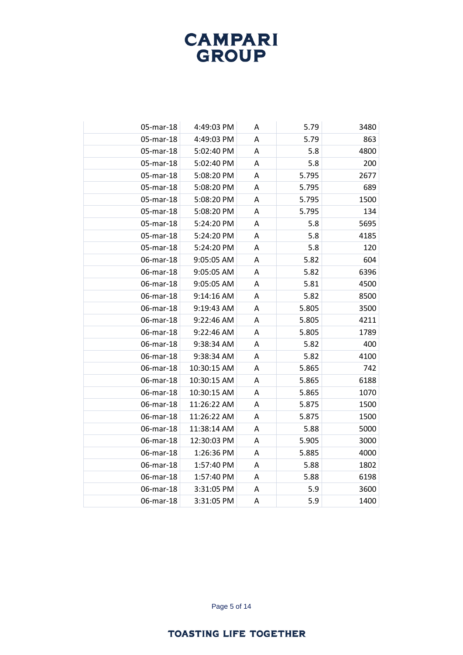| 05-mar-18 | 4:49:03 PM  | Α | 5.79  | 3480 |
|-----------|-------------|---|-------|------|
| 05-mar-18 | 4:49:03 PM  | Α | 5.79  | 863  |
| 05-mar-18 | 5:02:40 PM  | A | 5.8   | 4800 |
| 05-mar-18 | 5:02:40 PM  | Α | 5.8   | 200  |
| 05-mar-18 | 5:08:20 PM  | Α | 5.795 | 2677 |
| 05-mar-18 | 5:08:20 PM  | Α | 5.795 | 689  |
| 05-mar-18 | 5:08:20 PM  | Α | 5.795 | 1500 |
| 05-mar-18 | 5:08:20 PM  | Α | 5.795 | 134  |
| 05-mar-18 | 5:24:20 PM  | A | 5.8   | 5695 |
| 05-mar-18 | 5:24:20 PM  | A | 5.8   | 4185 |
| 05-mar-18 | 5:24:20 PM  | Α | 5.8   | 120  |
| 06-mar-18 | 9:05:05 AM  | Α | 5.82  | 604  |
| 06-mar-18 | 9:05:05 AM  | Α | 5.82  | 6396 |
| 06-mar-18 | 9:05:05 AM  | Α | 5.81  | 4500 |
| 06-mar-18 | 9:14:16 AM  | A | 5.82  | 8500 |
| 06-mar-18 | 9:19:43 AM  | Α | 5.805 | 3500 |
| 06-mar-18 | 9:22:46 AM  | Α | 5.805 | 4211 |
| 06-mar-18 | 9:22:46 AM  | A | 5.805 | 1789 |
| 06-mar-18 | 9:38:34 AM  | A | 5.82  | 400  |
| 06-mar-18 | 9:38:34 AM  | Α | 5.82  | 4100 |
| 06-mar-18 | 10:30:15 AM | Α | 5.865 | 742  |
| 06-mar-18 | 10:30:15 AM | Α | 5.865 | 6188 |
| 06-mar-18 | 10:30:15 AM | Α | 5.865 | 1070 |
| 06-mar-18 | 11:26:22 AM | Α | 5.875 | 1500 |
| 06-mar-18 | 11:26:22 AM | Α | 5.875 | 1500 |
| 06-mar-18 | 11:38:14 AM | A | 5.88  | 5000 |
| 06-mar-18 | 12:30:03 PM | A | 5.905 | 3000 |
| 06-mar-18 | 1:26:36 PM  | Α | 5.885 | 4000 |
| 06-mar-18 | 1:57:40 PM  | Α | 5.88  | 1802 |
| 06-mar-18 | 1:57:40 PM  | A | 5.88  | 6198 |
| 06-mar-18 | 3:31:05 PM  | Α | 5.9   | 3600 |
| 06-mar-18 | 3:31:05 PM  | A | 5.9   | 1400 |

Page 5 of 14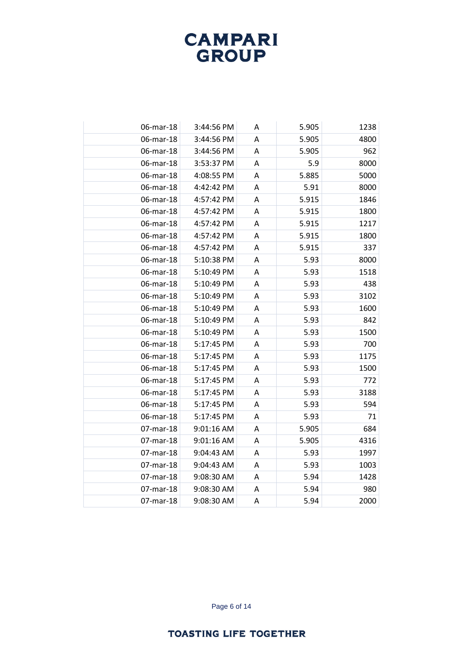| 06-mar-18 | 3:44:56 PM | A | 5.905 | 1238 |
|-----------|------------|---|-------|------|
| 06-mar-18 | 3:44:56 PM | A | 5.905 | 4800 |
| 06-mar-18 | 3:44:56 PM | Α | 5.905 | 962  |
| 06-mar-18 | 3:53:37 PM | A | 5.9   | 8000 |
| 06-mar-18 | 4:08:55 PM | A | 5.885 | 5000 |
| 06-mar-18 | 4:42:42 PM | Α | 5.91  | 8000 |
| 06-mar-18 | 4:57:42 PM | A | 5.915 | 1846 |
| 06-mar-18 | 4:57:42 PM | A | 5.915 | 1800 |
| 06-mar-18 | 4:57:42 PM | A | 5.915 | 1217 |
| 06-mar-18 | 4:57:42 PM | Α | 5.915 | 1800 |
| 06-mar-18 | 4:57:42 PM | A | 5.915 | 337  |
| 06-mar-18 | 5:10:38 PM | Α | 5.93  | 8000 |
| 06-mar-18 | 5:10:49 PM | Α | 5.93  | 1518 |
| 06-mar-18 | 5:10:49 PM | Α | 5.93  | 438  |
| 06-mar-18 | 5:10:49 PM | A | 5.93  | 3102 |
| 06-mar-18 | 5:10:49 PM | Α | 5.93  | 1600 |
| 06-mar-18 | 5:10:49 PM | Α | 5.93  | 842  |
| 06-mar-18 | 5:10:49 PM | A | 5.93  | 1500 |
| 06-mar-18 | 5:17:45 PM | A | 5.93  | 700  |
| 06-mar-18 | 5:17:45 PM | Α | 5.93  | 1175 |
| 06-mar-18 | 5:17:45 PM | A | 5.93  | 1500 |
| 06-mar-18 | 5:17:45 PM | Α | 5.93  | 772  |
| 06-mar-18 | 5:17:45 PM | Α | 5.93  | 3188 |
| 06-mar-18 | 5:17:45 PM | A | 5.93  | 594  |
| 06-mar-18 | 5:17:45 PM | A | 5.93  | 71   |
| 07-mar-18 | 9:01:16 AM | Α | 5.905 | 684  |
| 07-mar-18 | 9:01:16 AM | A | 5.905 | 4316 |
| 07-mar-18 | 9:04:43 AM | Α | 5.93  | 1997 |
| 07-mar-18 | 9:04:43 AM | Α | 5.93  | 1003 |
| 07-mar-18 | 9:08:30 AM | A | 5.94  | 1428 |
| 07-mar-18 | 9:08:30 AM | Α | 5.94  | 980  |
| 07-mar-18 | 9:08:30 AM | A | 5.94  | 2000 |

Page 6 of 14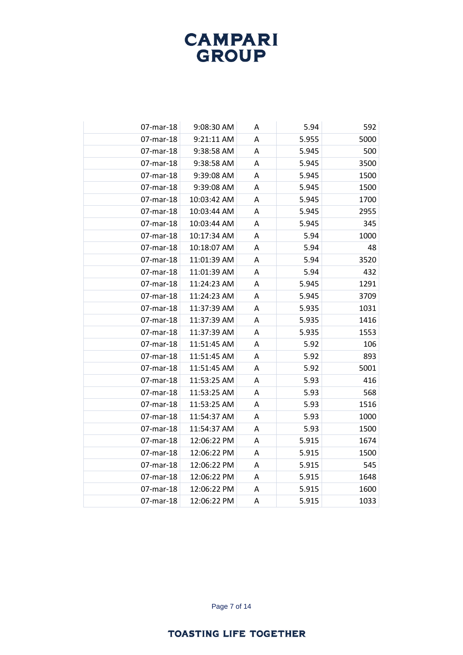| 07-mar-18 | 9:08:30 AM  | Α | 5.94  | 592  |
|-----------|-------------|---|-------|------|
| 07-mar-18 | 9:21:11 AM  | A | 5.955 | 5000 |
| 07-mar-18 | 9:38:58 AM  | A | 5.945 | 500  |
| 07-mar-18 | 9:38:58 AM  | Α | 5.945 | 3500 |
| 07-mar-18 | 9:39:08 AM  | A | 5.945 | 1500 |
| 07-mar-18 | 9:39:08 AM  | A | 5.945 | 1500 |
| 07-mar-18 | 10:03:42 AM | Α | 5.945 | 1700 |
| 07-mar-18 | 10:03:44 AM | Α | 5.945 | 2955 |
| 07-mar-18 | 10:03:44 AM | A | 5.945 | 345  |
| 07-mar-18 | 10:17:34 AM | Α | 5.94  | 1000 |
| 07-mar-18 | 10:18:07 AM | Α | 5.94  | 48   |
| 07-mar-18 | 11:01:39 AM | A | 5.94  | 3520 |
| 07-mar-18 | 11:01:39 AM | A | 5.94  | 432  |
| 07-mar-18 | 11:24:23 AM | Α | 5.945 | 1291 |
| 07-mar-18 | 11:24:23 AM | A | 5.945 | 3709 |
| 07-mar-18 | 11:37:39 AM | A | 5.935 | 1031 |
| 07-mar-18 | 11:37:39 AM | Α | 5.935 | 1416 |
| 07-mar-18 | 11:37:39 AM | A | 5.935 | 1553 |
| 07-mar-18 | 11:51:45 AM | A | 5.92  | 106  |
| 07-mar-18 | 11:51:45 AM | Α | 5.92  | 893  |
| 07-mar-18 | 11:51:45 AM | A | 5.92  | 5001 |
| 07-mar-18 | 11:53:25 AM | Α | 5.93  | 416  |
| 07-mar-18 | 11:53:25 AM | Α | 5.93  | 568  |
| 07-mar-18 | 11:53:25 AM | A | 5.93  | 1516 |
| 07-mar-18 | 11:54:37 AM | Α | 5.93  | 1000 |
| 07-mar-18 | 11:54:37 AM | A | 5.93  | 1500 |
| 07-mar-18 | 12:06:22 PM | Α | 5.915 | 1674 |
| 07-mar-18 | 12:06:22 PM | A | 5.915 | 1500 |
| 07-mar-18 | 12:06:22 PM | Α | 5.915 | 545  |
| 07-mar-18 | 12:06:22 PM | A | 5.915 | 1648 |
| 07-mar-18 | 12:06:22 PM | Α | 5.915 | 1600 |
| 07-mar-18 | 12:06:22 PM | A | 5.915 | 1033 |

Page 7 of 14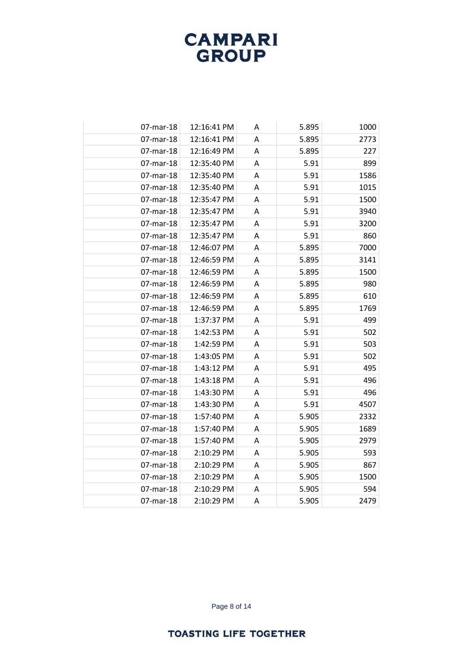| 07-mar-18 | 12:16:41 PM | Α | 5.895 | 1000 |
|-----------|-------------|---|-------|------|
| 07-mar-18 | 12:16:41 PM | A | 5.895 | 2773 |
| 07-mar-18 | 12:16:49 PM | A | 5.895 | 227  |
| 07-mar-18 | 12:35:40 PM | Α | 5.91  | 899  |
| 07-mar-18 | 12:35:40 PM | A | 5.91  | 1586 |
| 07-mar-18 | 12:35:40 PM | A | 5.91  | 1015 |
| 07-mar-18 | 12:35:47 PM | Α | 5.91  | 1500 |
| 07-mar-18 | 12:35:47 PM | A | 5.91  | 3940 |
| 07-mar-18 | 12:35:47 PM | A | 5.91  | 3200 |
| 07-mar-18 | 12:35:47 PM | Α | 5.91  | 860  |
| 07-mar-18 | 12:46:07 PM | A | 5.895 | 7000 |
| 07-mar-18 | 12:46:59 PM | A | 5.895 | 3141 |
| 07-mar-18 | 12:46:59 PM | Α | 5.895 | 1500 |
| 07-mar-18 | 12:46:59 PM | Α | 5.895 | 980  |
| 07-mar-18 | 12:46:59 PM | A | 5.895 | 610  |
| 07-mar-18 | 12:46:59 PM | Α | 5.895 | 1769 |
| 07-mar-18 | 1:37:37 PM  | A | 5.91  | 499  |
| 07-mar-18 | 1:42:53 PM  | A | 5.91  | 502  |
| 07-mar-18 | 1:42:59 PM  | A | 5.91  | 503  |
| 07-mar-18 | 1:43:05 PM  | A | 5.91  | 502  |
| 07-mar-18 | 1:43:12 PM  | A | 5.91  | 495  |
| 07-mar-18 | 1:43:18 PM  | A | 5.91  | 496  |
| 07-mar-18 | 1:43:30 PM  | Α | 5.91  | 496  |
| 07-mar-18 | 1:43:30 PM  | A | 5.91  | 4507 |
| 07-mar-18 | 1:57:40 PM  | A | 5.905 | 2332 |
| 07-mar-18 | 1:57:40 PM  | A | 5.905 | 1689 |
| 07-mar-18 | 1:57:40 PM  | Α | 5.905 | 2979 |
| 07-mar-18 | 2:10:29 PM  | Α | 5.905 | 593  |
| 07-mar-18 | 2:10:29 PM  | Α | 5.905 | 867  |
| 07-mar-18 | 2:10:29 PM  | A | 5.905 | 1500 |
| 07-mar-18 | 2:10:29 PM  | Α | 5.905 | 594  |
| 07-mar-18 | 2:10:29 PM  | A | 5.905 | 2479 |

Page 8 of 14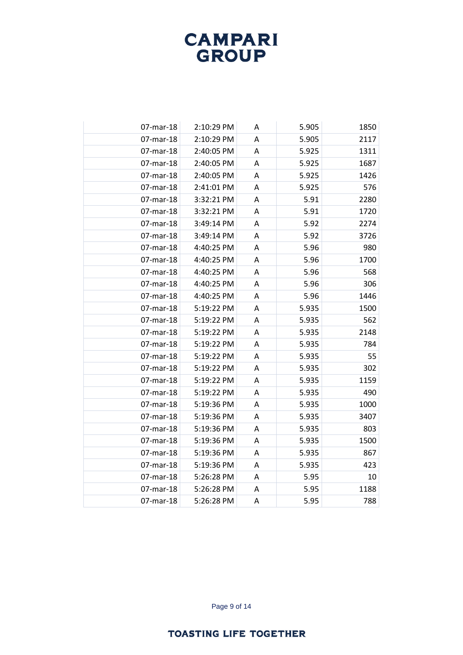| 07-mar-18 | 2:10:29 PM | Α | 5.905 | 1850 |
|-----------|------------|---|-------|------|
| 07-mar-18 | 2:10:29 PM | A | 5.905 | 2117 |
| 07-mar-18 | 2:40:05 PM | A | 5.925 | 1311 |
| 07-mar-18 | 2:40:05 PM | A | 5.925 | 1687 |
| 07-mar-18 | 2:40:05 PM | A | 5.925 | 1426 |
| 07-mar-18 | 2:41:01 PM | A | 5.925 | 576  |
| 07-mar-18 | 3:32:21 PM | Α | 5.91  | 2280 |
| 07-mar-18 | 3:32:21 PM | A | 5.91  | 1720 |
| 07-mar-18 | 3:49:14 PM | A | 5.92  | 2274 |
| 07-mar-18 | 3:49:14 PM | Α | 5.92  | 3726 |
| 07-mar-18 | 4:40:25 PM | Α | 5.96  | 980  |
| 07-mar-18 | 4:40:25 PM | A | 5.96  | 1700 |
| 07-mar-18 | 4:40:25 PM | A | 5.96  | 568  |
| 07-mar-18 | 4:40:25 PM | Α | 5.96  | 306  |
| 07-mar-18 | 4:40:25 PM | A | 5.96  | 1446 |
| 07-mar-18 | 5:19:22 PM | A | 5.935 | 1500 |
| 07-mar-18 | 5:19:22 PM | Α | 5.935 | 562  |
| 07-mar-18 | 5:19:22 PM | A | 5.935 | 2148 |
| 07-mar-18 | 5:19:22 PM | A | 5.935 | 784  |
| 07-mar-18 | 5:19:22 PM | A | 5.935 | 55   |
| 07-mar-18 | 5:19:22 PM | A | 5.935 | 302  |
| 07-mar-18 | 5:19:22 PM | Α | 5.935 | 1159 |
| 07-mar-18 | 5:19:22 PM | Α | 5.935 | 490  |
| 07-mar-18 | 5:19:36 PM | A | 5.935 | 1000 |
| 07-mar-18 | 5:19:36 PM | Α | 5.935 | 3407 |
| 07-mar-18 | 5:19:36 PM | A | 5.935 | 803  |
| 07-mar-18 | 5:19:36 PM | A | 5.935 | 1500 |
| 07-mar-18 | 5:19:36 PM | A | 5.935 | 867  |
| 07-mar-18 | 5:19:36 PM | Α | 5.935 | 423  |
| 07-mar-18 | 5:26:28 PM | A | 5.95  | 10   |
| 07-mar-18 | 5:26:28 PM | Α | 5.95  | 1188 |
| 07-mar-18 | 5:26:28 PM | A | 5.95  | 788  |

Page 9 of 14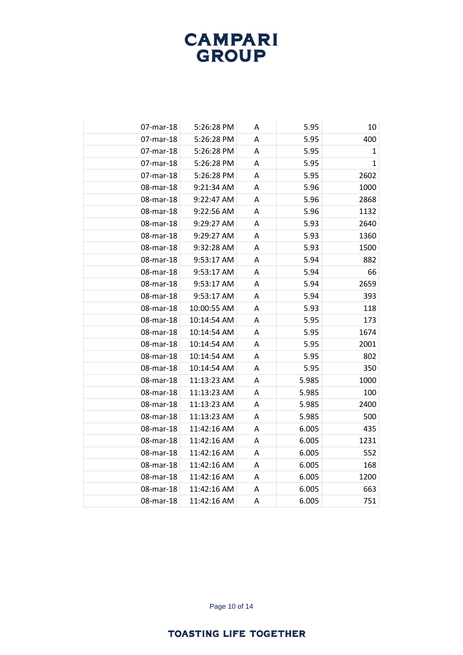| 07-mar-18 | 5:26:28 PM  | A | 5.95  | 10           |
|-----------|-------------|---|-------|--------------|
| 07-mar-18 | 5:26:28 PM  | A | 5.95  | 400          |
| 07-mar-18 | 5:26:28 PM  | Α | 5.95  | $\mathbf{1}$ |
| 07-mar-18 | 5:26:28 PM  | A | 5.95  | $\mathbf{1}$ |
| 07-mar-18 | 5:26:28 PM  | A | 5.95  | 2602         |
| 08-mar-18 | 9:21:34 AM  | Α | 5.96  | 1000         |
| 08-mar-18 | 9:22:47 AM  | Α | 5.96  | 2868         |
| 08-mar-18 | 9:22:56 AM  | A | 5.96  | 1132         |
| 08-mar-18 | 9:29:27 AM  | A | 5.93  | 2640         |
| 08-mar-18 | 9:29:27 AM  | A | 5.93  | 1360         |
| 08-mar-18 | 9:32:28 AM  | Α | 5.93  | 1500         |
| 08-mar-18 | 9:53:17 AM  | A | 5.94  | 882          |
| 08-mar-18 | 9:53:17 AM  | Α | 5.94  | 66           |
| 08-mar-18 | 9:53:17 AM  | A | 5.94  | 2659         |
| 08-mar-18 | 9:53:17 AM  | A | 5.94  | 393          |
| 08-mar-18 | 10:00:55 AM | Α | 5.93  | 118          |
| 08-mar-18 | 10:14:54 AM | Α | 5.95  | 173          |
| 08-mar-18 | 10:14:54 AM | A | 5.95  | 1674         |
| 08-mar-18 | 10:14:54 AM | A | 5.95  | 2001         |
| 08-mar-18 | 10:14:54 AM | A | 5.95  | 802          |
| 08-mar-18 | 10:14:54 AM | A | 5.95  | 350          |
| 08-mar-18 | 11:13:23 AM | Α | 5.985 | 1000         |
| 08-mar-18 | 11:13:23 AM | Α | 5.985 | 100          |
| 08-mar-18 | 11:13:23 AM | A | 5.985 | 2400         |
| 08-mar-18 | 11:13:23 AM | Α | 5.985 | 500          |
| 08-mar-18 | 11:42:16 AM | Α | 6.005 | 435          |
| 08-mar-18 | 11:42:16 AM | A | 6.005 | 1231         |
| 08-mar-18 | 11:42:16 AM | A | 6.005 | 552          |
| 08-mar-18 | 11:42:16 AM | A | 6.005 | 168          |
| 08-mar-18 | 11:42:16 AM | Α | 6.005 | 1200         |
| 08-mar-18 | 11:42:16 AM | Α | 6.005 | 663          |
| 08-mar-18 | 11:42:16 AM | Α | 6.005 | 751          |

Page 10 of 14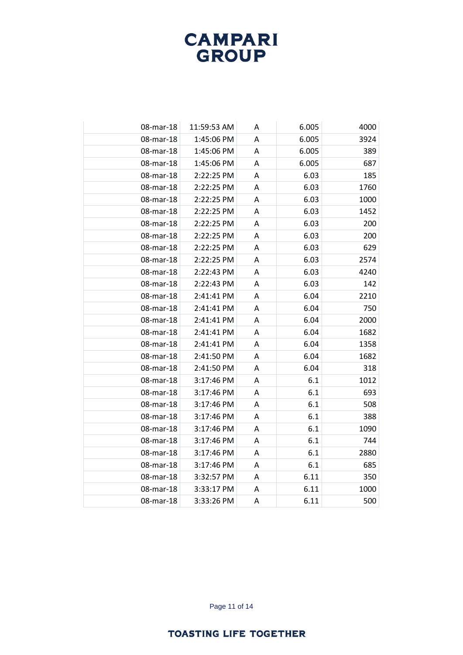| 08-mar-18 | 11:59:53 AM | Α | 6.005 | 4000 |
|-----------|-------------|---|-------|------|
| 08-mar-18 | 1:45:06 PM  | A | 6.005 | 3924 |
| 08-mar-18 | 1:45:06 PM  | A | 6.005 | 389  |
| 08-mar-18 | 1:45:06 PM  | Α | 6.005 | 687  |
| 08-mar-18 | 2:22:25 PM  | A | 6.03  | 185  |
| 08-mar-18 | 2:22:25 PM  | A | 6.03  | 1760 |
| 08-mar-18 | 2:22:25 PM  | Α | 6.03  | 1000 |
| 08-mar-18 | 2:22:25 PM  | A | 6.03  | 1452 |
| 08-mar-18 | 2:22:25 PM  | A | 6.03  | 200  |
| 08-mar-18 | 2:22:25 PM  | A | 6.03  | 200  |
| 08-mar-18 | 2:22:25 PM  | A | 6.03  | 629  |
| 08-mar-18 | 2:22:25 PM  | A | 6.03  | 2574 |
| 08-mar-18 | 2:22:43 PM  | Α | 6.03  | 4240 |
| 08-mar-18 | 2:22:43 PM  | A | 6.03  | 142  |
| 08-mar-18 | 2:41:41 PM  | A | 6.04  | 2210 |
| 08-mar-18 | 2:41:41 PM  | A | 6.04  | 750  |
| 08-mar-18 | 2:41:41 PM  | A | 6.04  | 2000 |
| 08-mar-18 | 2:41:41 PM  | A | 6.04  | 1682 |
| 08-mar-18 | 2:41:41 PM  | A | 6.04  | 1358 |
| 08-mar-18 | 2:41:50 PM  | A | 6.04  | 1682 |
| 08-mar-18 | 2:41:50 PM  | A | 6.04  | 318  |
| 08-mar-18 | 3:17:46 PM  | A | 6.1   | 1012 |
| 08-mar-18 | 3:17:46 PM  | A | 6.1   | 693  |
| 08-mar-18 | 3:17:46 PM  | A | 6.1   | 508  |
| 08-mar-18 | 3:17:46 PM  | A | 6.1   | 388  |
| 08-mar-18 | 3:17:46 PM  | A | 6.1   | 1090 |
| 08-mar-18 | 3:17:46 PM  | Α | 6.1   | 744  |
| 08-mar-18 | 3:17:46 PM  | Α | 6.1   | 2880 |
| 08-mar-18 | 3:17:46 PM  | A | 6.1   | 685  |
| 08-mar-18 | 3:32:57 PM  | A | 6.11  | 350  |
| 08-mar-18 | 3:33:17 PM  | Α | 6.11  | 1000 |
| 08-mar-18 | 3:33:26 PM  | A | 6.11  | 500  |

Page 11 of 14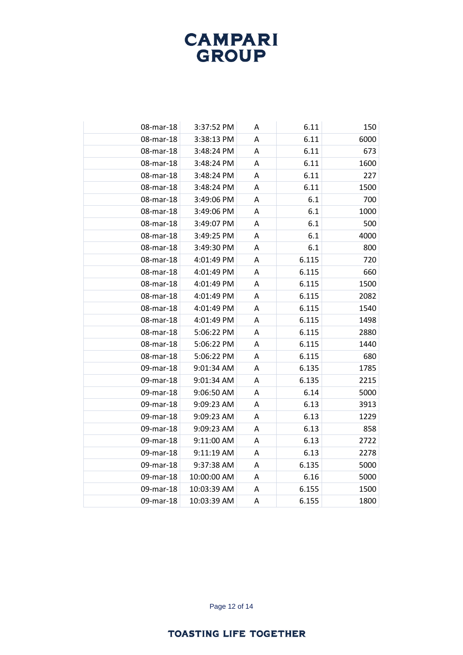| 08-mar-18 | 3:37:52 PM  | Α | 6.11  | 150  |
|-----------|-------------|---|-------|------|
| 08-mar-18 | 3:38:13 PM  | A | 6.11  | 6000 |
| 08-mar-18 | 3:48:24 PM  | A | 6.11  | 673  |
| 08-mar-18 | 3:48:24 PM  | Α | 6.11  | 1600 |
| 08-mar-18 | 3:48:24 PM  | A | 6.11  | 227  |
| 08-mar-18 | 3:48:24 PM  | A | 6.11  | 1500 |
| 08-mar-18 | 3:49:06 PM  | Α | 6.1   | 700  |
| 08-mar-18 | 3:49:06 PM  | A | 6.1   | 1000 |
| 08-mar-18 | 3:49:07 PM  | A | 6.1   | 500  |
| 08-mar-18 | 3:49:25 PM  | Α | 6.1   | 4000 |
| 08-mar-18 | 3:49:30 PM  | A | 6.1   | 800  |
| 08-mar-18 | 4:01:49 PM  | A | 6.115 | 720  |
| 08-mar-18 | 4:01:49 PM  | Α | 6.115 | 660  |
| 08-mar-18 | 4:01:49 PM  | Α | 6.115 | 1500 |
| 08-mar-18 | 4:01:49 PM  | A | 6.115 | 2082 |
| 08-mar-18 | 4:01:49 PM  | Α | 6.115 | 1540 |
| 08-mar-18 | 4:01:49 PM  | A | 6.115 | 1498 |
| 08-mar-18 | 5:06:22 PM  | A | 6.115 | 2880 |
| 08-mar-18 | 5:06:22 PM  | A | 6.115 | 1440 |
| 08-mar-18 | 5:06:22 PM  | A | 6.115 | 680  |
| 09-mar-18 | 9:01:34 AM  | A | 6.135 | 1785 |
| 09-mar-18 | 9:01:34 AM  | Α | 6.135 | 2215 |
| 09-mar-18 | 9:06:50 AM  | A | 6.14  | 5000 |
| 09-mar-18 | 9:09:23 AM  | Α | 6.13  | 3913 |
| 09-mar-18 | 9:09:23 AM  | Α | 6.13  | 1229 |
| 09-mar-18 | 9:09:23 AM  | A | 6.13  | 858  |
| 09-mar-18 | 9:11:00 AM  | A | 6.13  | 2722 |
| 09-mar-18 | 9:11:19 AM  | A | 6.13  | 2278 |
| 09-mar-18 | 9:37:38 AM  | Α | 6.135 | 5000 |
| 09-mar-18 | 10:00:00 AM | Α | 6.16  | 5000 |
| 09-mar-18 | 10:03:39 AM | Α | 6.155 | 1500 |
| 09-mar-18 | 10:03:39 AM | A | 6.155 | 1800 |

Page 12 of 14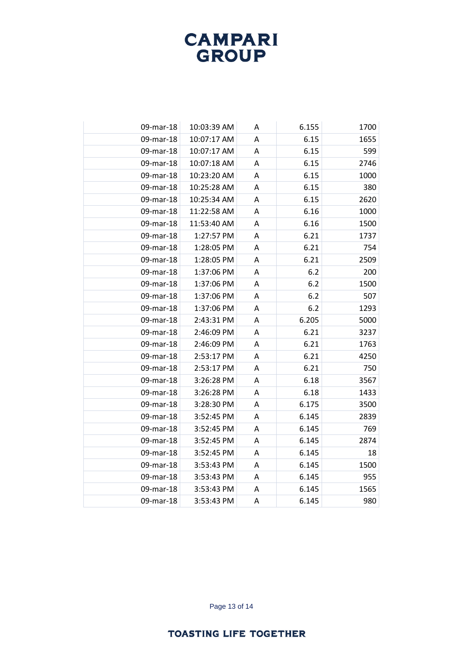| 09-mar-18 | 10:03:39 AM | Α | 6.155 | 1700 |
|-----------|-------------|---|-------|------|
| 09-mar-18 | 10:07:17 AM | A | 6.15  | 1655 |
| 09-mar-18 | 10:07:17 AM | А | 6.15  | 599  |
| 09-mar-18 | 10:07:18 AM | Α | 6.15  | 2746 |
| 09-mar-18 | 10:23:20 AM | Α | 6.15  | 1000 |
| 09-mar-18 | 10:25:28 AM | A | 6.15  | 380  |
| 09-mar-18 | 10:25:34 AM | Α | 6.15  | 2620 |
| 09-mar-18 | 11:22:58 AM | Α | 6.16  | 1000 |
| 09-mar-18 | 11:53:40 AM | A | 6.16  | 1500 |
| 09-mar-18 | 1:27:57 PM  | Α | 6.21  | 1737 |
| 09-mar-18 | 1:28:05 PM  | Α | 6.21  | 754  |
| 09-mar-18 | 1:28:05 PM  | Α | 6.21  | 2509 |
| 09-mar-18 | 1:37:06 PM  | A | 6.2   | 200  |
| 09-mar-18 | 1:37:06 PM  | Α | 6.2   | 1500 |
| 09-mar-18 | 1:37:06 PM  | A | 6.2   | 507  |
| 09-mar-18 | 1:37:06 PM  | Α | 6.2   | 1293 |
| 09-mar-18 | 2:43:31 PM  | Α | 6.205 | 5000 |
| 09-mar-18 | 2:46:09 PM  | A | 6.21  | 3237 |
| 09-mar-18 | 2:46:09 PM  | A | 6.21  | 1763 |
| 09-mar-18 | 2:53:17 PM  | Α | 6.21  | 4250 |
| 09-mar-18 | 2:53:17 PM  | Α | 6.21  | 750  |
| 09-mar-18 | 3:26:28 PM  | Α | 6.18  | 3567 |
| 09-mar-18 | 3:26:28 PM  | Α | 6.18  | 1433 |
| 09-mar-18 | 3:28:30 PM  | Α | 6.175 | 3500 |
| 09-mar-18 | 3:52:45 PM  | Α | 6.145 | 2839 |
| 09-mar-18 | 3:52:45 PM  | A | 6.145 | 769  |
| 09-mar-18 | 3:52:45 PM  | Α | 6.145 | 2874 |
| 09-mar-18 | 3:52:45 PM  | Α | 6.145 | 18   |
| 09-mar-18 | 3:53:43 PM  | Α | 6.145 | 1500 |
| 09-mar-18 | 3:53:43 PM  | Α | 6.145 | 955  |
| 09-mar-18 | 3:53:43 PM  | Α | 6.145 | 1565 |
| 09-mar-18 | 3:53:43 PM  | A | 6.145 | 980  |
|           |             |   |       |      |

Page 13 of 14